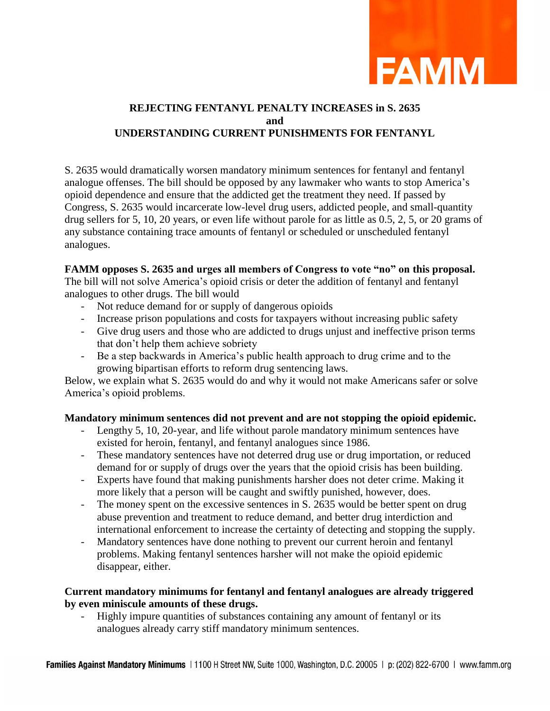

# **REJECTING FENTANYL PENALTY INCREASES in S. 2635 and UNDERSTANDING CURRENT PUNISHMENTS FOR FENTANYL**

S. 2635 would dramatically worsen mandatory minimum sentences for fentanyl and fentanyl analogue offenses. The bill should be opposed by any lawmaker who wants to stop America's opioid dependence and ensure that the addicted get the treatment they need. If passed by Congress, S. 2635 would incarcerate low-level drug users, addicted people, and small-quantity drug sellers for 5, 10, 20 years, or even life without parole for as little as 0.5, 2, 5, or 20 grams of any substance containing trace amounts of fentanyl or scheduled or unscheduled fentanyl analogues.

#### **FAMM opposes S. 2635 and urges all members of Congress to vote "no" on this proposal.**

The bill will not solve America's opioid crisis or deter the addition of fentanyl and fentanyl analogues to other drugs. The bill would

- Not reduce demand for or supply of dangerous opioids
- Increase prison populations and costs for taxpayers without increasing public safety
- Give drug users and those who are addicted to drugs unjust and ineffective prison terms that don't help them achieve sobriety
- Be a step backwards in America's public health approach to drug crime and to the growing bipartisan efforts to reform drug sentencing laws.

Below, we explain what S. 2635 would do and why it would not make Americans safer or solve America's opioid problems.

## **Mandatory minimum sentences did not prevent and are not stopping the opioid epidemic.**

- Lengthy 5, 10, 20-year, and life without parole mandatory minimum sentences have existed for heroin, fentanyl, and fentanyl analogues since 1986.
- These mandatory sentences have not deterred drug use or drug importation, or reduced demand for or supply of drugs over the years that the opioid crisis has been building.
- Experts have found that making punishments harsher does not deter crime. Making it more likely that a person will be caught and swiftly punished, however, does.
- The money spent on the excessive sentences in S. 2635 would be better spent on drug abuse prevention and treatment to reduce demand, and better drug interdiction and international enforcement to increase the certainty of detecting and stopping the supply.
- Mandatory sentences have done nothing to prevent our current heroin and fentanyl problems. Making fentanyl sentences harsher will not make the opioid epidemic disappear, either.

#### **Current mandatory minimums for fentanyl and fentanyl analogues are already triggered by even miniscule amounts of these drugs.**

Highly impure quantities of substances containing any amount of fentanyl or its analogues already carry stiff mandatory minimum sentences.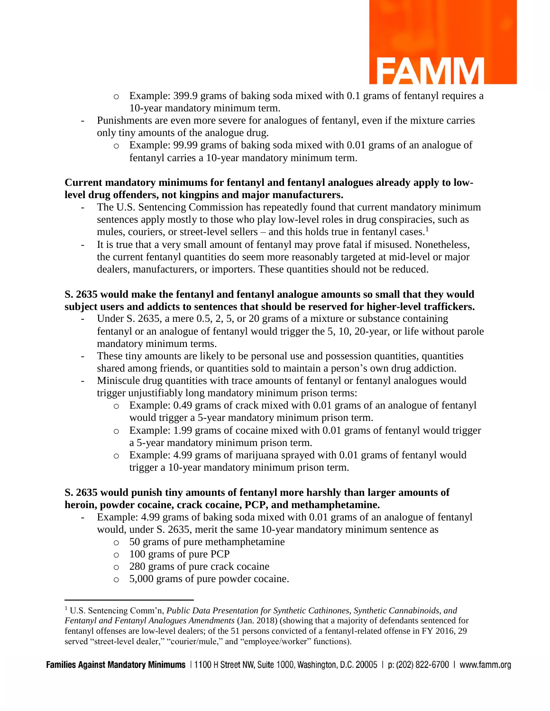

- o Example: 399.9 grams of baking soda mixed with 0.1 grams of fentanyl requires a 10-year mandatory minimum term.
- Punishments are even more severe for analogues of fentanyl, even if the mixture carries only tiny amounts of the analogue drug.
	- o Example: 99.99 grams of baking soda mixed with 0.01 grams of an analogue of fentanyl carries a 10-year mandatory minimum term.

### **Current mandatory minimums for fentanyl and fentanyl analogues already apply to lowlevel drug offenders, not kingpins and major manufacturers.**

- The U.S. Sentencing Commission has repeatedly found that current mandatory minimum sentences apply mostly to those who play low-level roles in drug conspiracies, such as mules, couriers, or street-level sellers – and this holds true in fentanyl cases.<sup>1</sup>
- It is true that a very small amount of fentanyl may prove fatal if misused. Nonetheless, the current fentanyl quantities do seem more reasonably targeted at mid-level or major dealers, manufacturers, or importers. These quantities should not be reduced.

# **S. 2635 would make the fentanyl and fentanyl analogue amounts so small that they would subject users and addicts to sentences that should be reserved for higher-level traffickers.**

- Under S. 2635, a mere  $0.5, 2, 5$ , or 20 grams of a mixture or substance containing fentanyl or an analogue of fentanyl would trigger the 5, 10, 20-year, or life without parole mandatory minimum terms.
- These tiny amounts are likely to be personal use and possession quantities, quantities shared among friends, or quantities sold to maintain a person's own drug addiction.
- Miniscule drug quantities with trace amounts of fentanyl or fentanyl analogues would trigger unjustifiably long mandatory minimum prison terms:
	- o Example: 0.49 grams of crack mixed with 0.01 grams of an analogue of fentanyl would trigger a 5-year mandatory minimum prison term.
	- o Example: 1.99 grams of cocaine mixed with 0.01 grams of fentanyl would trigger a 5-year mandatory minimum prison term.
	- o Example: 4.99 grams of marijuana sprayed with 0.01 grams of fentanyl would trigger a 10-year mandatory minimum prison term.

## **S. 2635 would punish tiny amounts of fentanyl more harshly than larger amounts of heroin, powder cocaine, crack cocaine, PCP, and methamphetamine.**

- Example: 4.99 grams of baking soda mixed with 0.01 grams of an analogue of fentanyl would, under S. 2635, merit the same 10-year mandatory minimum sentence as
	- o 50 grams of pure methamphetamine
	- o 100 grams of pure PCP

 $\overline{a}$ 

- o 280 grams of pure crack cocaine
- o 5,000 grams of pure powder cocaine.

<sup>1</sup> U.S. Sentencing Comm'n, *Public Data Presentation for Synthetic Cathinones, Synthetic Cannabinoids, and Fentanyl and Fentanyl Analogues Amendments* (Jan. 2018) (showing that a majority of defendants sentenced for fentanyl offenses are low-level dealers; of the 51 persons convicted of a fentanyl-related offense in FY 2016, 29 served "street-level dealer," "courier/mule," and "employee/worker" functions).